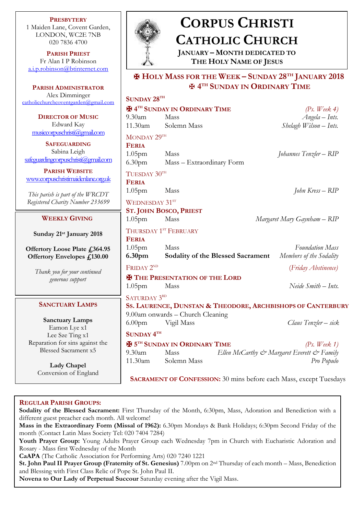**PRESBYTERY** 1 Maiden Lane, Covent Garden, LONDON, WC2E 7NB 020 7836 4700

**PARISH PRIEST** Fr Alan I P Robinson [a.i.p.robinson@btinternet.com](mailto:a.i.p.robinson@btinternet.com)

**PARISH ADMINISTRATOR** Alex Dimminger  $c$ atholicchurchcoventgarden@g

> **DIRECTOR OF MUSI** Edward Kay  $musicconvuschristi(Qgmail)$

**SAFEGUARDING** Sabina Leigh safeguardingcorpuschristi $@$ gn

**PARISH WEBSITE** www.corpuschristimaidenlane

*This parish is part of the WT* **Registered Charity Number 2** 

## **WEEKLY GIVING**

**Sunday 21st January 2** 

**Offertory Loose Plate £ Offertory Envelopes £1** 

> *Thank you for your contin generous support*

## **SANCTUARY LAMP**

**Sanctuary Lamps** Eamon Lye x1 Lee Sze Ting x1 Reparation for sins again Blessed Sacrament x5

> **Lady Chapel** Conversion of Englan



# **CORPUS CHRISTI CATHOLIC CHURCH**

**JANUARY – MONTH DEDICATED TO THE HOLY NAME OF JESUS**

# ✠ **HOLY MASS FOR THE WEEK – SUNDAY 28TH JANUARY 2018** ✠ **4 TH SUNDAY IN ORDINARY TIME**

| mail.com             | SUNDAY 28TH                                                               |                                  |                                          |                                            |
|----------------------|---------------------------------------------------------------------------|----------------------------------|------------------------------------------|--------------------------------------------|
|                      | <b>HATH SUNDAY IN ORDINARY TIME</b>                                       |                                  |                                          | (Ps. Week 4)                               |
| ΙĊ                   | 9.30am                                                                    | Mass                             |                                          | $Angela - Ints.$                           |
|                      | 11.30am                                                                   | Solemn Mass                      |                                          | Shelagh Wilson - Ints.                     |
| <u>com</u>           | MONDAY 29TH                                                               |                                  |                                          |                                            |
|                      | <b>FERIA</b>                                                              |                                  |                                          |                                            |
|                      | 1.05 <sub>pm</sub>                                                        | Mass                             |                                          | Johannes Tenzler – RIP                     |
| nail.com             |                                                                           | 6.30pm Mass - Extraordinary Form |                                          |                                            |
|                      | TUESDAY 30TH                                                              |                                  |                                          |                                            |
| <u>e.org.uk</u>      | <b>FERIA</b>                                                              |                                  |                                          |                                            |
| <b>RCDT</b><br>33699 | 1.05 <sub>pm</sub>                                                        | Mass                             |                                          | John Kress – RIP                           |
|                      | WEDNESDAY 31ST                                                            |                                  |                                          |                                            |
|                      |                                                                           | <b>ST. JOHN BOSCO, PRIEST</b>    |                                          |                                            |
|                      | 1.05 <sub>pm</sub>                                                        | Mass                             |                                          | Margaret Mary Gaynham - RIP                |
|                      | THURSDAY 1ST FEBRUARY                                                     |                                  |                                          |                                            |
| 018                  | <b>FERIA</b>                                                              |                                  |                                          |                                            |
| 364.95               | 1.05 <sub>pm</sub>                                                        | Mass                             |                                          | <b>Foundation Mass</b>                     |
| 30.00                | 6.30 <sub>pm</sub>                                                        |                                  | <b>Sodality of the Blessed Sacrament</b> | Members of the Sodality                    |
|                      | FRIDAY 2 <sup>ND</sup>                                                    |                                  |                                          | (Friday Abstinence)                        |
| ued                  | <b>H</b> THE PRESENTATION OF THE LORD                                     |                                  |                                          |                                            |
|                      | 1.05 <sub>pm</sub>                                                        | Mass                             |                                          | Neide Smith - Ints.                        |
|                      | SATURDAY 3RD                                                              |                                  |                                          |                                            |
| 'S                   | SS. LAURENCE, DUNSTAN & THEODORE, ARCHBISHOPS OF CANTERBURY               |                                  |                                          |                                            |
|                      | 9.00am onwards - Church Cleaning                                          |                                  |                                          |                                            |
|                      | 6.00 <sub>pm</sub>                                                        | Vigil Mass                       |                                          | Claus Tenzler - sick                       |
|                      | SUNDAY <sup>4TH</sup>                                                     |                                  |                                          |                                            |
| st the               | <b>H</b> 5TH SUNDAY IN ORDINARY TIME                                      |                                  |                                          | (Ps. Week 1)                               |
| 5                    | Mass<br>$9.30$ am                                                         |                                  |                                          | Ellen McCarthy & Margaret Everett & Family |
|                      | 11.30am                                                                   | Solemn Mass                      |                                          | Pro Populo                                 |
| ıd                   |                                                                           |                                  |                                          |                                            |
|                      | <b>SACRAMENT OF CONFESSION:</b> 30 mins before each Mass, except Tuesdays |                                  |                                          |                                            |

## **REGULAR PARISH GROUPS:**

**Sodality of the Blessed Sacrament:** First Thursday of the Month, 6:30pm, Mass, Adoration and Benediction with a different guest preacher each month. All welcome!

 month (Contact Latin Mass Society Tel: 020 7404 7284) **Mass in the Extraordinary Form (Missal of 1962):** 6.30pm Mondays & Bank Holidays; 6:30pm Second Friday of the

**Youth Prayer Group:** Young Adults Prayer Group each Wednesday 7pm in Church with Eucharistic Adoration and Rosary - Mass first Wednesday of the Month

**CaAPA** (The Catholic Association for Performing Arts) 020 7240 1221

**St. John Paul II Prayer Group (Fraternity of St. Genesius)** 7.00pm on 2nd Thursday of each month – Mass, Benediction and Blessing with First Class Relic of Pope St. John Paul II.

**Novena to Our Lady of Perpetual Succour** Saturday evening after the Vigil Mass.